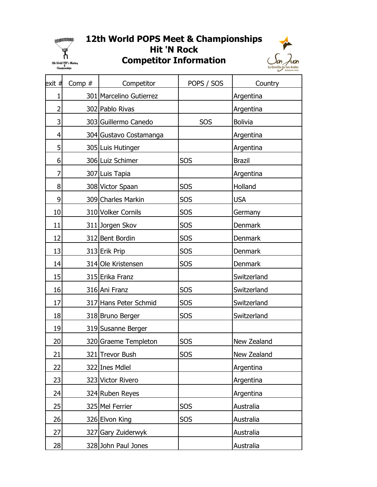

## 12th World POPS Meet & Championships Hit 'N Rock





| exit #         | Comp # | Competitor              | POPS / SOS | Country        |
|----------------|--------|-------------------------|------------|----------------|
| $\mathbf 1$    |        | 301 Marcelino Gutierrez |            | Argentina      |
| $\overline{2}$ |        | 302 Pablo Rivas         |            | Argentina      |
| 3              |        | 303 Guillermo Canedo    | SOS        | <b>Bolivia</b> |
| 4              |        | 304 Gustavo Costamanga  |            | Argentina      |
| 5              |        | 305 Luis Hutinger       |            | Argentina      |
| 6              |        | 306 Luiz Schimer        | <b>SOS</b> | <b>Brazil</b>  |
| 7              |        | 307 Luis Tapia          |            | Argentina      |
| 8              |        | 308 Victor Spaan        | <b>SOS</b> | Holland        |
| 9              |        | 309 Charles Markin      | <b>SOS</b> | <b>USA</b>     |
| 10             |        | 310 Volker Cornils      | SOS        | Germany        |
| 11             |        | 311 Jorgen Skov         | <b>SOS</b> | Denmark        |
| 12             |        | 312 Bent Bordin         | SOS        | <b>Denmark</b> |
| 13             |        | 313 Erik Prip           | <b>SOS</b> | <b>Denmark</b> |
| 14             |        | 314 Ole Kristensen      | SOS        | Denmark        |
| 15             |        | 315 Erika Franz         |            | Switzerland    |
| 16             |        | 316 Ani Franz           | <b>SOS</b> | Switzerland    |
| 17             |        | 317 Hans Peter Schmid   | <b>SOS</b> | Switzerland    |
| 18             |        | 318 Bruno Berger        | SOS        | Switzerland    |
| 19             |        | 319 Susanne Berger      |            |                |
| 20             |        | 320 Graeme Templeton    | <b>SOS</b> | New Zealand    |
| 21             |        | 321 Trevor Bush         | <b>SOS</b> | New Zealand    |
| 22             |        | 322 Ines Mdlel          |            | Argentina      |
| 23             |        | 323 Victor Rivero       |            | Argentina      |
| 24             |        | 324 Ruben Reyes         |            | Argentina      |
| 25             |        | 325 Mel Ferrier         | <b>SOS</b> | Australia      |
| 26             |        | 326 Elvon King          | SOS        | Australia      |
| 27             |        | 327 Gary Zuiderwyk      |            | Australia      |
| 28             |        | 328 John Paul Jones     |            | Australia      |